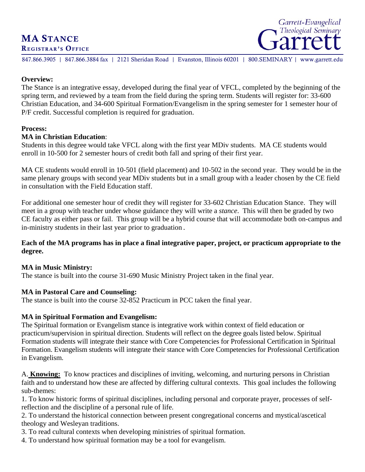# **MA STANCE**<br>REGISTRAR'S OFFICE





847.866.3905 | 847.866.3884 fax | 2121 Sheridan Road | Evanston, Illinois 60201 | 800.SEMINARY | www.garrett.edu

#### **Overview:**

The Stance is an integrative essay, developed during the final year of VFCL, completed by the beginning of the spring term, and reviewed by a team from the field during the spring term. Students will register for: 33-600 Christian Education, and 34-600 Spiritual Formation/Evangelism in the spring semester for 1 semester hour of P/F credit. Successful completion is required for graduation.

#### **Process:**

#### **MA in Christian Education**:

Students in this degree would take VFCL along with the first year MDiv students. MA CE students would enroll in 10-500 for 2 semester hours of credit both fall and spring of their first year.

MA CE students would enroll in 10-501 (field placement) and 10-502 in the second year. They would be in the same plenary groups with second year MDiv students but in a small group with a leader chosen by the CE field in consultation with the Field Education staff.

For additional one semester hour of credit they will register for 33-602 Christian Education Stance. They will meet in a group with teacher under whose guidance they will write a *stance*. This will then be graded by two CE faculty as either pass or fail. This group will be a hybrid course that will accommodate both on-campus and in-ministry students in their last year prior to graduation.

#### **Each of the MA programs has in place a final integrative paper, project, or practicum appropriate to the degree.**

#### **MA in Music Ministry:**

The stance is built into the course 31-690 Music Ministry Project taken in the final year.

#### **MA in Pastoral Care and Counseling:**

The stance is built into the course 32-852 Practicum in PCC taken the final year.

#### **MA in Spiritual Formation and Evangelism:**

The Spiritual formation or Evangelism stance is integrative work within context of field education or practicum/supervision in spiritual direction. Students will reflect on the degree goals listed below. Spiritual Formation students will integrate their stance with Core Competencies for Professional Certification in Spiritual Formation. Evangelism students will integrate their stance with Core Competencies for Professional Certification in Evangelism.

A. **Knowing:** To know practices and disciplines of inviting, welcoming, and nurturing persons in Christian faith and to understand how these are affected by differing cultural contexts. This goal includes the following sub-themes:

1. To know historic forms of spiritual disciplines, including personal and corporate prayer, processes of selfreflection and the discipline of a personal rule of life.

2. To understand the historical connection between present congregational concerns and mystical/ascetical theology and Wesleyan traditions.

3. To read cultural contexts when developing ministries of spiritual formation.

4. To understand how spiritual formation may be a tool for evangelism.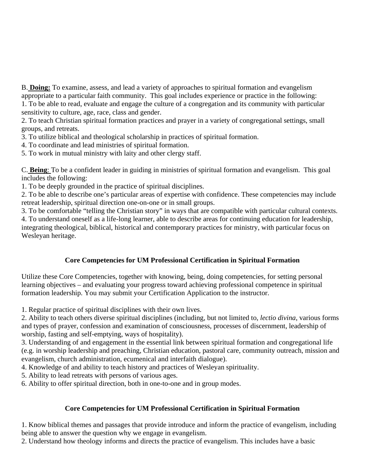B. **Doing:** To examine, assess, and lead a variety of approaches to spiritual formation and evangelism appropriate to a particular faith community. This goal includes experience or practice in the following: 1. To be able to read, evaluate and engage the culture of a congregation and its community with particular

sensitivity to culture, age, race, class and gender.

2. To teach Christian spiritual formation practices and prayer in a variety of congregational settings, small groups, and retreats.

3. To utilize biblical and theological scholarship in practices of spiritual formation.

4. To coordinate and lead ministries of spiritual formation.

5. To work in mutual ministry with laity and other clergy staff.

C. **Being**: To be a confident leader in guiding in ministries of spiritual formation and evangelism. This goal includes the following:

1. To be deeply grounded in the practice of spiritual disciplines.

2. To be able to describe one's particular areas of expertise with confidence. These competencies may include retreat leadership, spiritual direction one-on-one or in small groups.

3. To be comfortable "telling the Christian story" in ways that are compatible with particular cultural contexts.

4. To understand oneself as a life-long learner, able to describe areas for continuing education for leadership, integrating theological, biblical, historical and contemporary practices for ministry, with particular focus on Wesleyan heritage.

### **Core Competencies for UM Professional Certification in Spiritual Formation**

Utilize these Core Competencies, together with knowing, being, doing competencies, for setting personal learning objectives – and evaluating your progress toward achieving professional competence in spiritual formation leadership. You may submit your Certification Application to the instructor.

1. Regular practice of spiritual disciplines with their own lives.

2. Ability to teach others diverse spiritual disciplines (including, but not limited to, *lectio divina*, various forms and types of prayer, confession and examination of consciousness, processes of discernment, leadership of worship, fasting and self-emptying, ways of hospitality).

3. Understanding of and engagement in the essential link between spiritual formation and congregational life (e.g. in worship leadership and preaching, Christian education, pastoral care, community outreach, mission and evangelism, church administration, ecumenical and interfaith dialogue).

4. Knowledge of and ability to teach history and practices of Wesleyan spirituality.

5. Ability to lead retreats with persons of various ages.

6. Ability to offer spiritual direction, both in one-to-one and in group modes.

## **Core Competencies for UM Professional Certification in Spiritual Formation**

1. Know biblical themes and passages that provide introduce and inform the practice of evangelism, including being able to answer the question why we engage in evangelism.

2. Understand how theology informs and directs the practice of evangelism. This includes have a basic